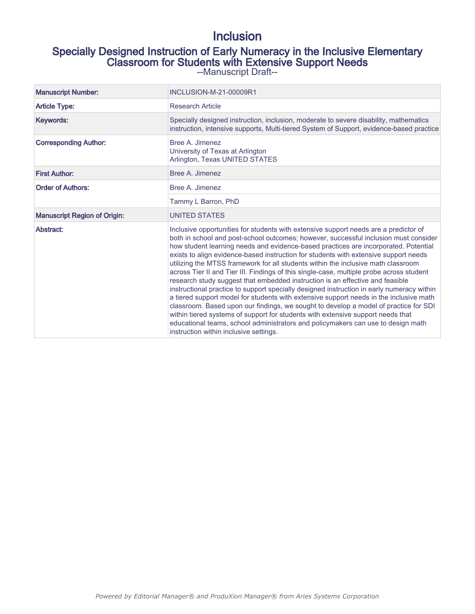# Inclusion

# Specially Designed Instruction of Early Numeracy in the Inclusive Elementary Classroom for Students with Extensive Support Needs

--Manuscript Draft--

| <b>Manuscript Number:</b>           | INCLUSION-M-21-00009R1                                                                                                                                                                                                                                                                                                                                                                                                                                                                                                                                                                                                                                                                                                                                                                                                                                                                                                                                                                                                                                                                                                        |
|-------------------------------------|-------------------------------------------------------------------------------------------------------------------------------------------------------------------------------------------------------------------------------------------------------------------------------------------------------------------------------------------------------------------------------------------------------------------------------------------------------------------------------------------------------------------------------------------------------------------------------------------------------------------------------------------------------------------------------------------------------------------------------------------------------------------------------------------------------------------------------------------------------------------------------------------------------------------------------------------------------------------------------------------------------------------------------------------------------------------------------------------------------------------------------|
| <b>Article Type:</b>                | <b>Research Article</b>                                                                                                                                                                                                                                                                                                                                                                                                                                                                                                                                                                                                                                                                                                                                                                                                                                                                                                                                                                                                                                                                                                       |
| Keywords:                           | Specially designed instruction, inclusion, moderate to severe disability, mathematics<br>instruction, intensive supports, Multi-tiered System of Support, evidence-based practice                                                                                                                                                                                                                                                                                                                                                                                                                                                                                                                                                                                                                                                                                                                                                                                                                                                                                                                                             |
| <b>Corresponding Author:</b>        | Bree A. Jimenez<br>University of Texas at Arlington<br>Arlington, Texas UNITED STATES                                                                                                                                                                                                                                                                                                                                                                                                                                                                                                                                                                                                                                                                                                                                                                                                                                                                                                                                                                                                                                         |
| <b>First Author:</b>                | Bree A. Jimenez                                                                                                                                                                                                                                                                                                                                                                                                                                                                                                                                                                                                                                                                                                                                                                                                                                                                                                                                                                                                                                                                                                               |
| <b>Order of Authors:</b>            | Bree A. Jimenez                                                                                                                                                                                                                                                                                                                                                                                                                                                                                                                                                                                                                                                                                                                                                                                                                                                                                                                                                                                                                                                                                                               |
|                                     | Tammy L Barron, PhD                                                                                                                                                                                                                                                                                                                                                                                                                                                                                                                                                                                                                                                                                                                                                                                                                                                                                                                                                                                                                                                                                                           |
| <b>Manuscript Region of Origin:</b> | <b>UNITED STATES</b>                                                                                                                                                                                                                                                                                                                                                                                                                                                                                                                                                                                                                                                                                                                                                                                                                                                                                                                                                                                                                                                                                                          |
| Abstract:                           | Inclusive opportunities for students with extensive support needs are a predictor of<br>both in school and post-school outcomes; however, successful inclusion must consider<br>how student learning needs and evidence-based practices are incorporated. Potential<br>exists to align evidence-based instruction for students with extensive support needs<br>utilizing the MTSS framework for all students within the inclusive math classroom<br>across Tier II and Tier III. Findings of this single-case, multiple probe across student<br>research study suggest that embedded instruction is an effective and feasible<br>instructional practice to support specially designed instruction in early numeracy within<br>a tiered support model for students with extensive support needs in the inclusive math<br>classroom. Based upon our findings, we sought to develop a model of practice for SDI<br>within tiered systems of support for students with extensive support needs that<br>educational teams, school administrators and policymakers can use to design math<br>instruction within inclusive settings. |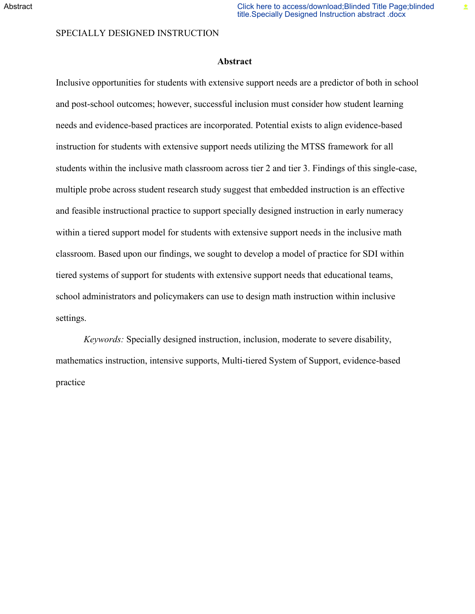土

#### SPECIALLY DESIGNED INSTRUCTION

## **Abstract**

Inclusive opportunities for students with extensive support needs are a predictor of both in school and post-school outcomes; however, successful inclusion must consider how student learning needs and evidence-based practices are incorporated. Potential exists to align evidence-based instruction for students with extensive support needs utilizing the MTSS framework for all students within the inclusive math classroom across tier 2 and tier 3. Findings of this single-case, multiple probe across student research study suggest that embedded instruction is an effective and feasible instructional practice to support specially designed instruction in early numeracy within a tiered support model for students with extensive support needs in the inclusive math classroom. Based upon our findings, we sought to develop a model of practice for SDI within tiered systems of support for students with extensive support needs that educational teams, school administrators and policymakers can use to design math instruction within inclusive settings.

*Keywords:* Specially designed instruction, inclusion, moderate to severe disability, mathematics instruction, intensive supports, Multi-tiered System of Support, evidence-based practice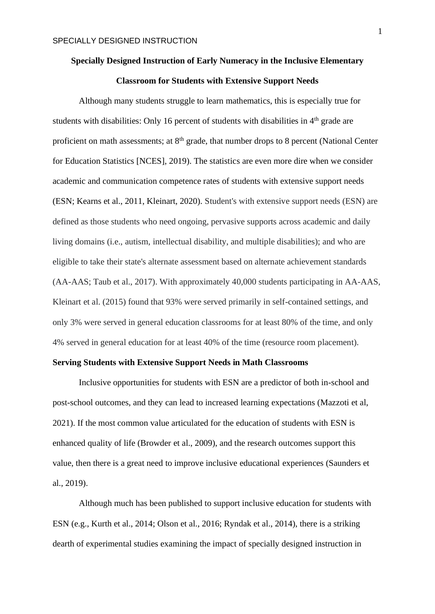# **Specially Designed Instruction of Early Numeracy in the Inclusive Elementary Classroom for Students with Extensive Support Needs**

Although many students struggle to learn mathematics, this is especially true for students with disabilities: Only 16 percent of students with disabilities in  $4<sup>th</sup>$  grade are proficient on math assessments; at  $8<sup>th</sup>$  grade, that number drops to 8 percent (National Center for Education Statistics [NCES], 2019). The statistics are even more dire when we consider academic and communication competence rates of students with extensive support needs (ESN; Kearns et al., 2011, Kleinart, 2020). Student's with extensive support needs (ESN) are defined as those students who need ongoing, pervasive supports across academic and daily living domains (i.e., autism, intellectual disability, and multiple disabilities); and who are eligible to take their state's alternate assessment based on alternate achievement standards (AA-AAS; Taub et al., 2017). With approximately 40,000 students participating in AA-AAS, Kleinart et al. (2015) found that 93% were served primarily in self-contained settings, and only 3% were served in general education classrooms for at least 80% of the time, and only 4% served in general education for at least 40% of the time (resource room placement).

#### **Serving Students with Extensive Support Needs in Math Classrooms**

Inclusive opportunities for students with ESN are a predictor of both in-school and post-school outcomes, and they can lead to increased learning expectations (Mazzoti et al, 2021). If the most common value articulated for the education of students with ESN is enhanced quality of life (Browder et al., 2009), and the research outcomes support this value, then there is a great need to improve inclusive educational experiences (Saunders et al., 2019).

Although much has been published to support inclusive education for students with ESN (e.g., Kurth et al., 2014; Olson et al., 2016; Ryndak et al., 2014), there is a striking dearth of experimental studies examining the impact of specially designed instruction in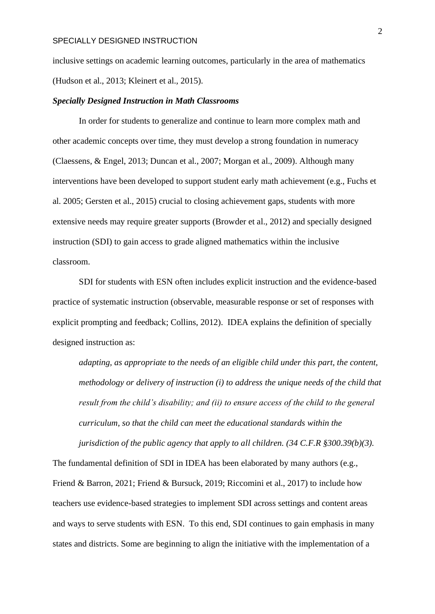inclusive settings on academic learning outcomes, particularly in the area of mathematics (Hudson et al., 2013; Kleinert et al., 2015).

#### *Specially Designed Instruction in Math Classrooms*

In order for students to generalize and continue to learn more complex math and other academic concepts over time, they must develop a strong foundation in numeracy (Claessens, & Engel, 2013; Duncan et al., 2007; Morgan et al., 2009). Although many interventions have been developed to support student early math achievement (e.g., Fuchs et al. 2005; Gersten et al., 2015) crucial to closing achievement gaps, students with more extensive needs may require greater supports (Browder et al., 2012) and specially designed instruction (SDI) to gain access to grade aligned mathematics within the inclusive classroom.

SDI for students with ESN often includes explicit instruction and the evidence-based practice of systematic instruction (observable, measurable response or set of responses with explicit prompting and feedback; Collins, 2012). IDEA explains the definition of specially designed instruction as:

*adapting, as appropriate to the needs of an eligible child under this part, the content, methodology or delivery of instruction (i) to address the unique needs of the child that result from the child's disability; and (ii) to ensure access of the child to the general curriculum, so that the child can meet the educational standards within the jurisdiction of the public agency that apply to all children. (34 C.F.R §300.39(b)(3).* 

The fundamental definition of SDI in IDEA has been elaborated by many authors (e.g., Friend & Barron, 2021; Friend & Bursuck, 2019; Riccomini et al., 2017) to include how teachers use evidence-based strategies to implement SDI across settings and content areas and ways to serve students with ESN. To this end, SDI continues to gain emphasis in many states and districts. Some are beginning to align the initiative with the implementation of a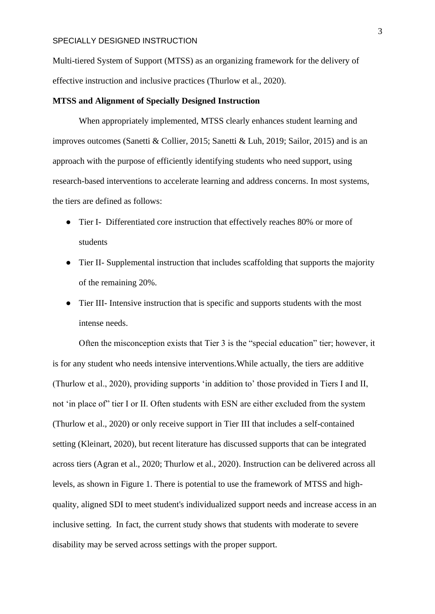Multi-tiered System of Support (MTSS) as an organizing framework for the delivery of effective instruction and inclusive practices (Thurlow et al., 2020).

#### **MTSS and Alignment of Specially Designed Instruction**

When appropriately implemented, MTSS clearly enhances student learning and improves outcomes (Sanetti & Collier, 2015; Sanetti & Luh, 2019; Sailor, 2015) and is an approach with the purpose of efficiently identifying students who need support, using research-based interventions to accelerate learning and address concerns. In most systems, the tiers are defined as follows:

- Tier I- Differentiated core instruction that effectively reaches 80% or more of students
- Tier II- Supplemental instruction that includes scaffolding that supports the majority of the remaining 20%.
- Tier III- Intensive instruction that is specific and supports students with the most intense needs.

Often the misconception exists that Tier 3 is the "special education" tier; however, it is for any student who needs intensive interventions.While actually, the tiers are additive (Thurlow et al., 2020), providing supports 'in addition to' those provided in Tiers I and II, not 'in place of" tier I or II. Often students with ESN are either excluded from the system (Thurlow et al., 2020) or only receive support in Tier III that includes a self-contained setting (Kleinart, 2020), but recent literature has discussed supports that can be integrated across tiers (Agran et al., 2020; Thurlow et al., 2020). Instruction can be delivered across all levels, as shown in Figure 1. There is potential to use the framework of MTSS and highquality, aligned SDI to meet student's individualized support needs and increase access in an inclusive setting. In fact, the current study shows that students with moderate to severe disability may be served across settings with the proper support.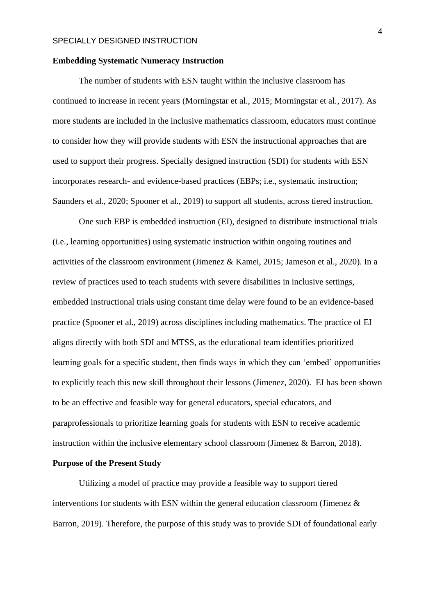## **Embedding Systematic Numeracy Instruction**

The number of students with ESN taught within the inclusive classroom has continued to increase in recent years (Morningstar et al., 2015; Morningstar et al., 2017). As more students are included in the inclusive mathematics classroom, educators must continue to consider how they will provide students with ESN the instructional approaches that are used to support their progress. Specially designed instruction (SDI) for students with ESN incorporates research- and evidence-based practices (EBPs; i.e., systematic instruction; Saunders et al., 2020; Spooner et al., 2019) to support all students, across tiered instruction.

One such EBP is embedded instruction (EI), designed to distribute instructional trials (i.e., learning opportunities) using systematic instruction within ongoing routines and activities of the classroom environment (Jimenez & Kamei, 2015; Jameson et al., 2020). In a review of practices used to teach students with severe disabilities in inclusive settings, embedded instructional trials using constant time delay were found to be an evidence-based practice (Spooner et al., 2019) across disciplines including mathematics. The practice of EI aligns directly with both SDI and MTSS, as the educational team identifies prioritized learning goals for a specific student, then finds ways in which they can 'embed' opportunities to explicitly teach this new skill throughout their lessons (Jimenez, 2020). EI has been shown to be an effective and feasible way for general educators, special educators, and paraprofessionals to prioritize learning goals for students with ESN to receive academic instruction within the inclusive elementary school classroom (Jimenez & Barron, 2018).

#### **Purpose of the Present Study**

Utilizing a model of practice may provide a feasible way to support tiered interventions for students with ESN within the general education classroom (Jimenez  $\&$ Barron, 2019). Therefore, the purpose of this study was to provide SDI of foundational early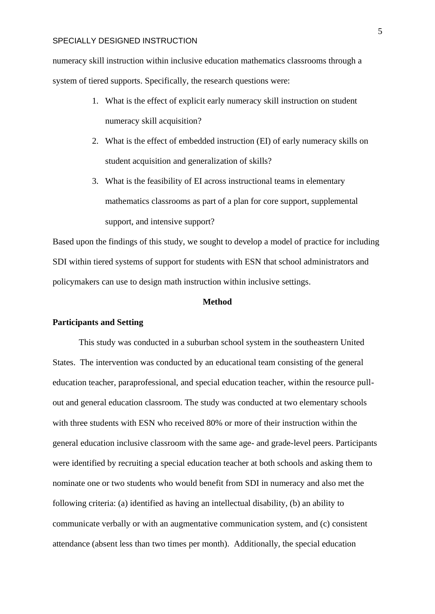numeracy skill instruction within inclusive education mathematics classrooms through a system of tiered supports. Specifically, the research questions were:

- 1. What is the effect of explicit early numeracy skill instruction on student numeracy skill acquisition?
- 2. What is the effect of embedded instruction (EI) of early numeracy skills on student acquisition and generalization of skills?
- 3. What is the feasibility of EI across instructional teams in elementary mathematics classrooms as part of a plan for core support, supplemental support, and intensive support?

Based upon the findings of this study, we sought to develop a model of practice for including SDI within tiered systems of support for students with ESN that school administrators and policymakers can use to design math instruction within inclusive settings.

## **Method**

## **Participants and Setting**

This study was conducted in a suburban school system in the southeastern United States. The intervention was conducted by an educational team consisting of the general education teacher, paraprofessional, and special education teacher, within the resource pullout and general education classroom. The study was conducted at two elementary schools with three students with ESN who received 80% or more of their instruction within the general education inclusive classroom with the same age- and grade-level peers. Participants were identified by recruiting a special education teacher at both schools and asking them to nominate one or two students who would benefit from SDI in numeracy and also met the following criteria: (a) identified as having an intellectual disability, (b) an ability to communicate verbally or with an augmentative communication system, and (c) consistent attendance (absent less than two times per month). Additionally, the special education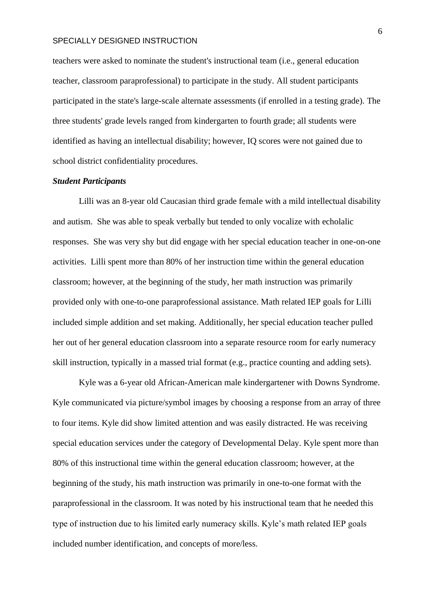teachers were asked to nominate the student's instructional team (i.e., general education teacher, classroom paraprofessional) to participate in the study. All student participants participated in the state's large-scale alternate assessments (if enrolled in a testing grade). The three students' grade levels ranged from kindergarten to fourth grade; all students were identified as having an intellectual disability; however, IQ scores were not gained due to school district confidentiality procedures.

# *Student Participants*

Lilli was an 8-year old Caucasian third grade female with a mild intellectual disability and autism. She was able to speak verbally but tended to only vocalize with echolalic responses. She was very shy but did engage with her special education teacher in one-on-one activities. Lilli spent more than 80% of her instruction time within the general education classroom; however, at the beginning of the study, her math instruction was primarily provided only with one-to-one paraprofessional assistance. Math related IEP goals for Lilli included simple addition and set making. Additionally, her special education teacher pulled her out of her general education classroom into a separate resource room for early numeracy skill instruction, typically in a massed trial format (e.g., practice counting and adding sets).

Kyle was a 6-year old African-American male kindergartener with Downs Syndrome. Kyle communicated via picture/symbol images by choosing a response from an array of three to four items. Kyle did show limited attention and was easily distracted. He was receiving special education services under the category of Developmental Delay. Kyle spent more than 80% of this instructional time within the general education classroom; however, at the beginning of the study, his math instruction was primarily in one-to-one format with the paraprofessional in the classroom. It was noted by his instructional team that he needed this type of instruction due to his limited early numeracy skills. Kyle's math related IEP goals included number identification, and concepts of more/less.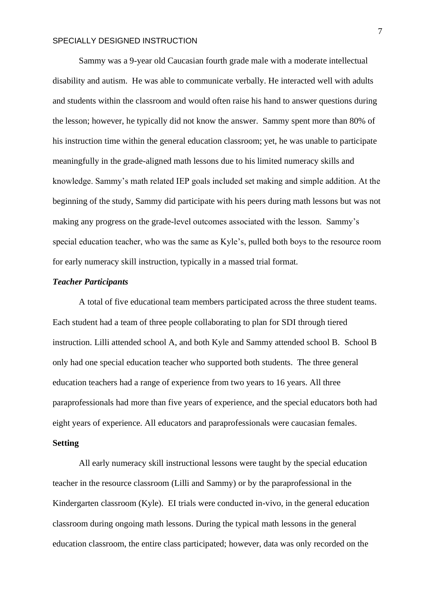Sammy was a 9-year old Caucasian fourth grade male with a moderate intellectual disability and autism. He was able to communicate verbally. He interacted well with adults and students within the classroom and would often raise his hand to answer questions during the lesson; however, he typically did not know the answer. Sammy spent more than 80% of his instruction time within the general education classroom; yet, he was unable to participate meaningfully in the grade-aligned math lessons due to his limited numeracy skills and knowledge. Sammy's math related IEP goals included set making and simple addition. At the beginning of the study, Sammy did participate with his peers during math lessons but was not making any progress on the grade-level outcomes associated with the lesson. Sammy's special education teacher, who was the same as Kyle's, pulled both boys to the resource room for early numeracy skill instruction, typically in a massed trial format.

## *Teacher Participants*

A total of five educational team members participated across the three student teams. Each student had a team of three people collaborating to plan for SDI through tiered instruction. Lilli attended school A, and both Kyle and Sammy attended school B. School B only had one special education teacher who supported both students. The three general education teachers had a range of experience from two years to 16 years. All three paraprofessionals had more than five years of experience, and the special educators both had eight years of experience. All educators and paraprofessionals were caucasian females. **Setting**

All early numeracy skill instructional lessons were taught by the special education teacher in the resource classroom (Lilli and Sammy) or by the paraprofessional in the Kindergarten classroom (Kyle). EI trials were conducted in-vivo, in the general education classroom during ongoing math lessons. During the typical math lessons in the general education classroom, the entire class participated; however, data was only recorded on the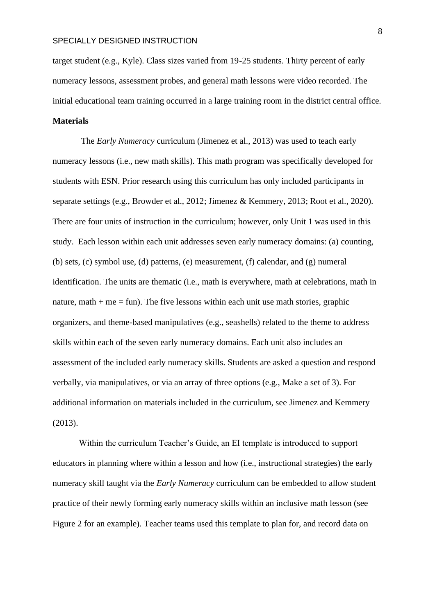target student (e.g., Kyle). Class sizes varied from 19-25 students. Thirty percent of early numeracy lessons, assessment probes, and general math lessons were video recorded. The initial educational team training occurred in a large training room in the district central office.

## **Materials**

The *Early Numeracy* curriculum (Jimenez et al., 2013) was used to teach early numeracy lessons (i.e., new math skills). This math program was specifically developed for students with ESN. Prior research using this curriculum has only included participants in separate settings (e.g., Browder et al., 2012; Jimenez & Kemmery, 2013; Root et al., 2020). There are four units of instruction in the curriculum; however, only Unit 1 was used in this study. Each lesson within each unit addresses seven early numeracy domains: (a) counting, (b) sets, (c) symbol use, (d) patterns, (e) measurement, (f) calendar, and (g) numeral identification. The units are thematic (i.e., math is everywhere, math at celebrations, math in nature, math  $+$  me  $=$  fun). The five lessons within each unit use math stories, graphic organizers, and theme-based manipulatives (e.g., seashells) related to the theme to address skills within each of the seven early numeracy domains. Each unit also includes an assessment of the included early numeracy skills. Students are asked a question and respond verbally, via manipulatives, or via an array of three options (e.g., Make a set of 3). For additional information on materials included in the curriculum, see Jimenez and Kemmery (2013).

Within the curriculum Teacher's Guide, an EI template is introduced to support educators in planning where within a lesson and how (i.e., instructional strategies) the early numeracy skill taught via the *Early Numeracy* curriculum can be embedded to allow student practice of their newly forming early numeracy skills within an inclusive math lesson (see Figure 2 for an example). Teacher teams used this template to plan for, and record data on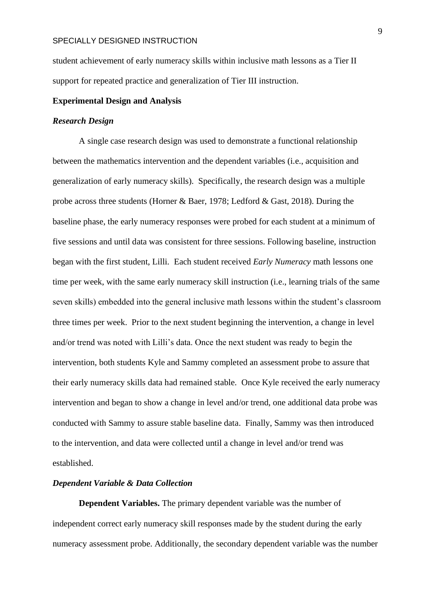student achievement of early numeracy skills within inclusive math lessons as a Tier II support for repeated practice and generalization of Tier III instruction.

#### **Experimental Design and Analysis**

#### *Research Design*

A single case research design was used to demonstrate a functional relationship between the mathematics intervention and the dependent variables (i.e., acquisition and generalization of early numeracy skills). Specifically, the research design was a multiple probe across three students (Horner & Baer, 1978; Ledford & Gast, 2018). During the baseline phase, the early numeracy responses were probed for each student at a minimum of five sessions and until data was consistent for three sessions. Following baseline, instruction began with the first student, Lilli. Each student received *Early Numeracy* math lessons one time per week, with the same early numeracy skill instruction (i.e., learning trials of the same seven skills) embedded into the general inclusive math lessons within the student's classroom three times per week. Prior to the next student beginning the intervention, a change in level and/or trend was noted with Lilli's data. Once the next student was ready to begin the intervention, both students Kyle and Sammy completed an assessment probe to assure that their early numeracy skills data had remained stable. Once Kyle received the early numeracy intervention and began to show a change in level and/or trend, one additional data probe was conducted with Sammy to assure stable baseline data. Finally, Sammy was then introduced to the intervention, and data were collected until a change in level and/or trend was established.

#### *Dependent Variable & Data Collection*

**Dependent Variables.** The primary dependent variable was the number of independent correct early numeracy skill responses made by the student during the early numeracy assessment probe. Additionally, the secondary dependent variable was the number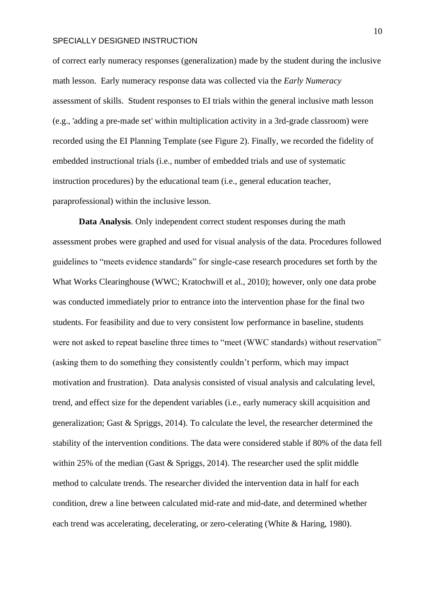of correct early numeracy responses (generalization) made by the student during the inclusive math lesson. Early numeracy response data was collected via the *Early Numeracy* assessment of skills. Student responses to EI trials within the general inclusive math lesson (e.g., 'adding a pre-made set' within multiplication activity in a 3rd-grade classroom) were recorded using the EI Planning Template (see Figure 2). Finally, we recorded the fidelity of embedded instructional trials (i.e., number of embedded trials and use of systematic instruction procedures) by the educational team (i.e., general education teacher, paraprofessional) within the inclusive lesson.

**Data Analysis**. Only independent correct student responses during the math assessment probes were graphed and used for visual analysis of the data. Procedures followed guidelines to "meets evidence standards" for single-case research procedures set forth by the What Works Clearinghouse (WWC; Kratochwill et al., 2010); however, only one data probe was conducted immediately prior to entrance into the intervention phase for the final two students. For feasibility and due to very consistent low performance in baseline, students were not asked to repeat baseline three times to "meet (WWC standards) without reservation" (asking them to do something they consistently couldn't perform, which may impact motivation and frustration). Data analysis consisted of visual analysis and calculating level, trend, and effect size for the dependent variables (i.e., early numeracy skill acquisition and generalization; Gast & Spriggs, 2014). To calculate the level, the researcher determined the stability of the intervention conditions. The data were considered stable if 80% of the data fell within 25% of the median (Gast & Spriggs, 2014). The researcher used the split middle method to calculate trends. The researcher divided the intervention data in half for each condition, drew a line between calculated mid-rate and mid-date, and determined whether each trend was accelerating, decelerating, or zero-celerating (White & Haring, 1980).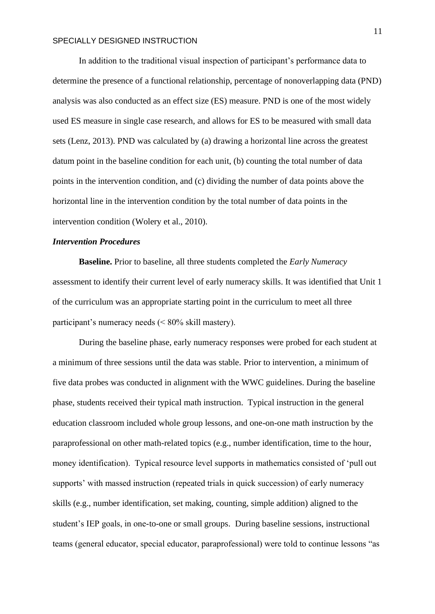In addition to the traditional visual inspection of participant's performance data to determine the presence of a functional relationship, percentage of nonoverlapping data (PND) analysis was also conducted as an effect size (ES) measure. PND is one of the most widely used ES measure in single case research, and allows for ES to be measured with small data sets (Lenz, 2013). PND was calculated by (a) drawing a horizontal line across the greatest datum point in the baseline condition for each unit, (b) counting the total number of data points in the intervention condition, and (c) dividing the number of data points above the horizontal line in the intervention condition by the total number of data points in the intervention condition (Wolery et al., 2010).

#### *Intervention Procedures*

**Baseline.** Prior to baseline, all three students completed the *Early Numeracy* assessment to identify their current level of early numeracy skills. It was identified that Unit 1 of the curriculum was an appropriate starting point in the curriculum to meet all three participant's numeracy needs (< 80% skill mastery).

During the baseline phase, early numeracy responses were probed for each student at a minimum of three sessions until the data was stable. Prior to intervention, a minimum of five data probes was conducted in alignment with the WWC guidelines. During the baseline phase, students received their typical math instruction. Typical instruction in the general education classroom included whole group lessons, and one-on-one math instruction by the paraprofessional on other math-related topics (e.g., number identification, time to the hour, money identification). Typical resource level supports in mathematics consisted of 'pull out supports' with massed instruction (repeated trials in quick succession) of early numeracy skills (e.g., number identification, set making, counting, simple addition) aligned to the student's IEP goals, in one-to-one or small groups. During baseline sessions, instructional teams (general educator, special educator, paraprofessional) were told to continue lessons "as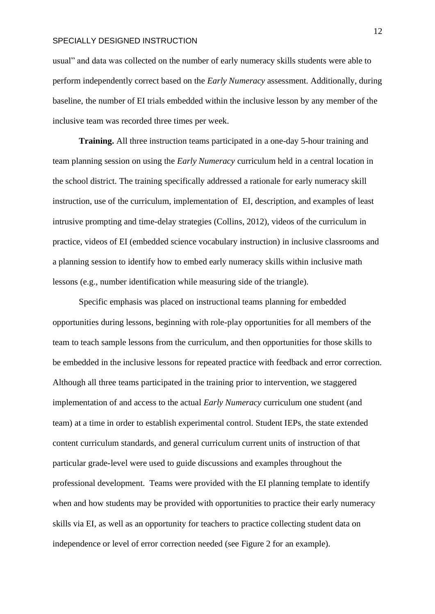usual" and data was collected on the number of early numeracy skills students were able to perform independently correct based on the *Early Numeracy* assessment. Additionally, during baseline, the number of EI trials embedded within the inclusive lesson by any member of the inclusive team was recorded three times per week.

**Training.** All three instruction teams participated in a one-day 5-hour training and team planning session on using the *Early Numeracy* curriculum held in a central location in the school district. The training specifically addressed a rationale for early numeracy skill instruction, use of the curriculum, implementation of EI, description, and examples of least intrusive prompting and time-delay strategies (Collins, 2012), videos of the curriculum in practice, videos of EI (embedded science vocabulary instruction) in inclusive classrooms and a planning session to identify how to embed early numeracy skills within inclusive math lessons (e.g., number identification while measuring side of the triangle).

Specific emphasis was placed on instructional teams planning for embedded opportunities during lessons, beginning with role-play opportunities for all members of the team to teach sample lessons from the curriculum, and then opportunities for those skills to be embedded in the inclusive lessons for repeated practice with feedback and error correction. Although all three teams participated in the training prior to intervention, we staggered implementation of and access to the actual *Early Numeracy* curriculum one student (and team) at a time in order to establish experimental control. Student IEPs, the state extended content curriculum standards, and general curriculum current units of instruction of that particular grade-level were used to guide discussions and examples throughout the professional development. Teams were provided with the EI planning template to identify when and how students may be provided with opportunities to practice their early numeracy skills via EI, as well as an opportunity for teachers to practice collecting student data on independence or level of error correction needed (see Figure 2 for an example).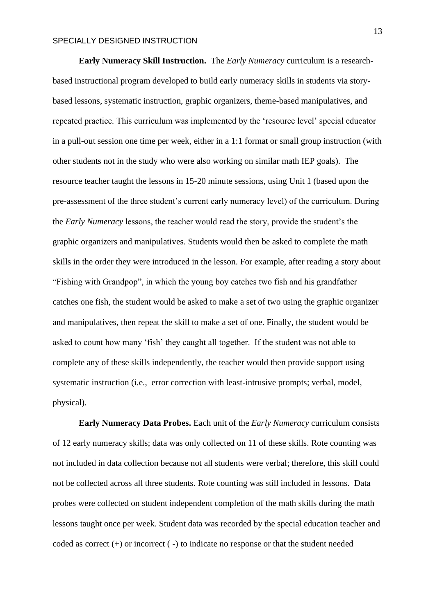**Early Numeracy Skill Instruction.** The *Early Numeracy* curriculum is a researchbased instructional program developed to build early numeracy skills in students via storybased lessons, systematic instruction, graphic organizers, theme-based manipulatives, and repeated practice. This curriculum was implemented by the 'resource level' special educator in a pull-out session one time per week, either in a 1:1 format or small group instruction (with other students not in the study who were also working on similar math IEP goals). The resource teacher taught the lessons in 15-20 minute sessions, using Unit 1 (based upon the pre-assessment of the three student's current early numeracy level) of the curriculum. During the *Early Numeracy* lessons, the teacher would read the story, provide the student's the graphic organizers and manipulatives. Students would then be asked to complete the math skills in the order they were introduced in the lesson. For example, after reading a story about "Fishing with Grandpop", in which the young boy catches two fish and his grandfather catches one fish, the student would be asked to make a set of two using the graphic organizer and manipulatives, then repeat the skill to make a set of one. Finally, the student would be asked to count how many 'fish' they caught all together. If the student was not able to complete any of these skills independently, the teacher would then provide support using systematic instruction (i.e., error correction with least-intrusive prompts; verbal, model, physical).

**Early Numeracy Data Probes.** Each unit of the *Early Numeracy* curriculum consists of 12 early numeracy skills; data was only collected on 11 of these skills. Rote counting was not included in data collection because not all students were verbal; therefore, this skill could not be collected across all three students. Rote counting was still included in lessons. Data probes were collected on student independent completion of the math skills during the math lessons taught once per week. Student data was recorded by the special education teacher and coded as correct (+) or incorrect ( -) to indicate no response or that the student needed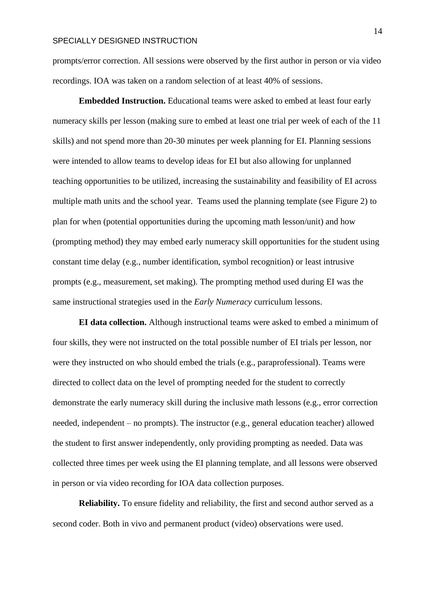prompts/error correction. All sessions were observed by the first author in person or via video recordings. IOA was taken on a random selection of at least 40% of sessions.

**Embedded Instruction.** Educational teams were asked to embed at least four early numeracy skills per lesson (making sure to embed at least one trial per week of each of the 11 skills) and not spend more than 20-30 minutes per week planning for EI. Planning sessions were intended to allow teams to develop ideas for EI but also allowing for unplanned teaching opportunities to be utilized, increasing the sustainability and feasibility of EI across multiple math units and the school year. Teams used the planning template (see Figure 2) to plan for when (potential opportunities during the upcoming math lesson/unit) and how (prompting method) they may embed early numeracy skill opportunities for the student using constant time delay (e.g., number identification, symbol recognition) or least intrusive prompts (e.g., measurement, set making). The prompting method used during EI was the same instructional strategies used in the *Early Numeracy* curriculum lessons.

**EI data collection.** Although instructional teams were asked to embed a minimum of four skills, they were not instructed on the total possible number of EI trials per lesson, nor were they instructed on who should embed the trials (e.g., paraprofessional). Teams were directed to collect data on the level of prompting needed for the student to correctly demonstrate the early numeracy skill during the inclusive math lessons (e.g., error correction needed, independent – no prompts). The instructor (e.g., general education teacher) allowed the student to first answer independently, only providing prompting as needed. Data was collected three times per week using the EI planning template, and all lessons were observed in person or via video recording for IOA data collection purposes.

**Reliability.** To ensure fidelity and reliability, the first and second author served as a second coder. Both in vivo and permanent product (video) observations were used.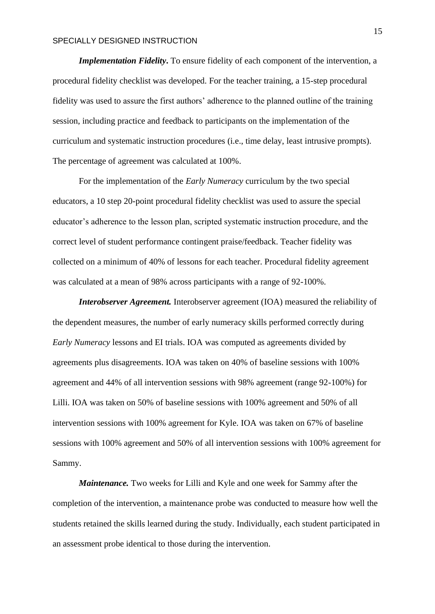*Implementation Fidelity***.** To ensure fidelity of each component of the intervention, a procedural fidelity checklist was developed. For the teacher training, a 15-step procedural fidelity was used to assure the first authors' adherence to the planned outline of the training session, including practice and feedback to participants on the implementation of the curriculum and systematic instruction procedures (i.e., time delay, least intrusive prompts). The percentage of agreement was calculated at 100%.

For the implementation of the *Early Numeracy* curriculum by the two special educators, a 10 step 20-point procedural fidelity checklist was used to assure the special educator's adherence to the lesson plan, scripted systematic instruction procedure, and the correct level of student performance contingent praise/feedback. Teacher fidelity was collected on a minimum of 40% of lessons for each teacher. Procedural fidelity agreement was calculated at a mean of 98% across participants with a range of 92-100%.

*Interobserver Agreement.* Interobserver agreement (IOA) measured the reliability of the dependent measures, the number of early numeracy skills performed correctly during *Early Numeracy* lessons and EI trials. IOA was computed as agreements divided by agreements plus disagreements. IOA was taken on 40% of baseline sessions with 100% agreement and 44% of all intervention sessions with 98% agreement (range 92-100%) for Lilli. IOA was taken on 50% of baseline sessions with 100% agreement and 50% of all intervention sessions with 100% agreement for Kyle. IOA was taken on 67% of baseline sessions with 100% agreement and 50% of all intervention sessions with 100% agreement for Sammy.

*Maintenance.* Two weeks for Lilli and Kyle and one week for Sammy after the completion of the intervention, a maintenance probe was conducted to measure how well the students retained the skills learned during the study. Individually, each student participated in an assessment probe identical to those during the intervention.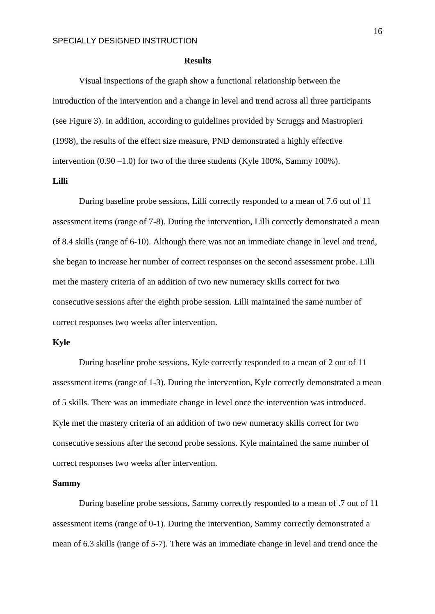#### **Results**

Visual inspections of the graph show a functional relationship between the introduction of the intervention and a change in level and trend across all three participants (see Figure 3). In addition, according to guidelines provided by Scruggs and Mastropieri (1998), the results of the effect size measure, PND demonstrated a highly effective intervention  $(0.90 - 1.0)$  for two of the three students (Kyle 100%, Sammy 100%).

# **Lilli**

During baseline probe sessions, Lilli correctly responded to a mean of 7.6 out of 11 assessment items (range of 7-8). During the intervention, Lilli correctly demonstrated a mean of 8.4 skills (range of 6-10). Although there was not an immediate change in level and trend, she began to increase her number of correct responses on the second assessment probe. Lilli met the mastery criteria of an addition of two new numeracy skills correct for two consecutive sessions after the eighth probe session. Lilli maintained the same number of correct responses two weeks after intervention.

#### **Kyle**

During baseline probe sessions, Kyle correctly responded to a mean of 2 out of 11 assessment items (range of 1-3). During the intervention, Kyle correctly demonstrated a mean of 5 skills. There was an immediate change in level once the intervention was introduced. Kyle met the mastery criteria of an addition of two new numeracy skills correct for two consecutive sessions after the second probe sessions. Kyle maintained the same number of correct responses two weeks after intervention.

#### **Sammy**

During baseline probe sessions, Sammy correctly responded to a mean of .7 out of 11 assessment items (range of 0-1). During the intervention, Sammy correctly demonstrated a mean of 6.3 skills (range of 5-7). There was an immediate change in level and trend once the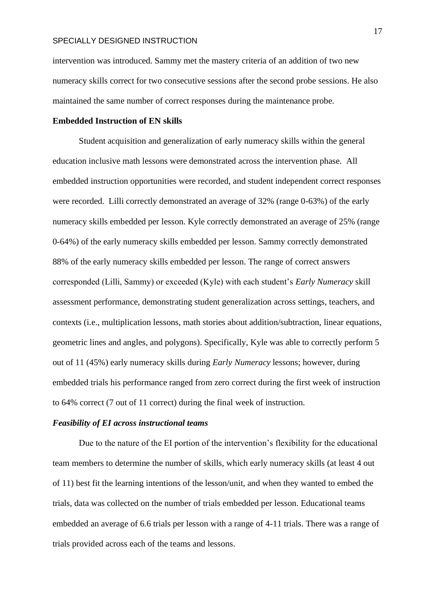intervention was introduced. Sammy met the mastery criteria of an addition of two new numeracy skills correct for two consecutive sessions after the second probe sessions. He also maintained the same number of correct responses during the maintenance probe.

#### **Embedded Instruction of EN skills**

Student acquisition and generalization of early numeracy skills within the general education inclusive math lessons were demonstrated across the intervention phase. All embedded instruction opportunities were recorded, and student independent correct responses were recorded. Lilli correctly demonstrated an average of 32% (range 0-63%) of the early numeracy skills embedded per lesson. Kyle correctly demonstrated an average of 25% (range 0-64%) of the early numeracy skills embedded per lesson. Sammy correctly demonstrated 88% of the early numeracy skills embedded per lesson. The range of correct answers corresponded (Lilli, Sammy) or exceeded (Kyle) with each student's *Early Numeracy* skill assessment performance, demonstrating student generalization across settings, teachers, and contexts (i.e., multiplication lessons, math stories about addition/subtraction, linear equations, geometric lines and angles, and polygons). Specifically, Kyle was able to correctly perform 5 out of 11 (45%) early numeracy skills during *Early Numeracy* lessons; however, during embedded trials his performance ranged from zero correct during the first week of instruction to 64% correct (7 out of 11 correct) during the final week of instruction.

### *Feasibility of EI across instructional teams*

Due to the nature of the EI portion of the intervention's flexibility for the educational team members to determine the number of skills, which early numeracy skills (at least 4 out of 11) best fit the learning intentions of the lesson/unit, and when they wanted to embed the trials, data was collected on the number of trials embedded per lesson. Educational teams embedded an average of 6.6 trials per lesson with a range of 4-11 trials. There was a range of trials provided across each of the teams and lessons.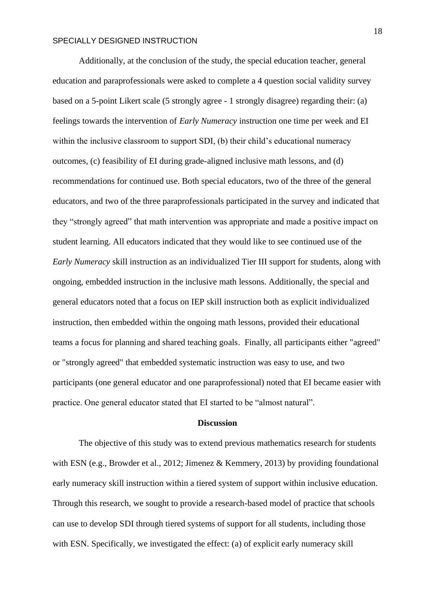Additionally, at the conclusion of the study, the special education teacher, general education and paraprofessionals were asked to complete a 4 question social validity survey based on a 5-point Likert scale (5 strongly agree - 1 strongly disagree) regarding their: (a) feelings towards the intervention of *Early Numeracy* instruction one time per week and EI within the inclusive classroom to support SDI, (b) their child's educational numeracy outcomes, (c) feasibility of EI during grade-aligned inclusive math lessons, and (d) recommendations for continued use. Both special educators, two of the three of the general educators, and two of the three paraprofessionals participated in the survey and indicated that they "strongly agreed" that math intervention was appropriate and made a positive impact on student learning. All educators indicated that they would like to see continued use of the *Early Numeracy* skill instruction as an individualized Tier III support for students, along with ongoing, embedded instruction in the inclusive math lessons. Additionally, the special and general educators noted that a focus on IEP skill instruction both as explicit individualized instruction, then embedded within the ongoing math lessons, provided their educational teams a focus for planning and shared teaching goals. Finally, all participants either "agreed" or "strongly agreed" that embedded systematic instruction was easy to use, and two participants (one general educator and one paraprofessional) noted that EI became easier with practice. One general educator stated that EI started to be "almost natural".

### **Discussion**

The objective of this study was to extend previous mathematics research for students with ESN (e.g., Browder et al., 2012; Jimenez & Kemmery, 2013) by providing foundational early numeracy skill instruction within a tiered system of support within inclusive education. Through this research, we sought to provide a research-based model of practice that schools can use to develop SDI through tiered systems of support for all students, including those with ESN. Specifically, we investigated the effect: (a) of explicit early numeracy skill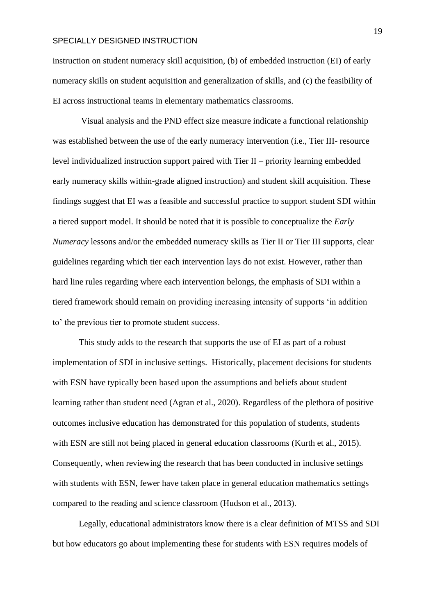instruction on student numeracy skill acquisition, (b) of embedded instruction (EI) of early numeracy skills on student acquisition and generalization of skills, and (c) the feasibility of EI across instructional teams in elementary mathematics classrooms.

Visual analysis and the PND effect size measure indicate a functional relationship was established between the use of the early numeracy intervention (i.e., Tier III- resource level individualized instruction support paired with Tier II – priority learning embedded early numeracy skills within-grade aligned instruction) and student skill acquisition. These findings suggest that EI was a feasible and successful practice to support student SDI within a tiered support model. It should be noted that it is possible to conceptualize the *Early Numeracy* lessons and/or the embedded numeracy skills as Tier II or Tier III supports, clear guidelines regarding which tier each intervention lays do not exist. However, rather than hard line rules regarding where each intervention belongs, the emphasis of SDI within a tiered framework should remain on providing increasing intensity of supports 'in addition to' the previous tier to promote student success.

This study adds to the research that supports the use of EI as part of a robust implementation of SDI in inclusive settings. Historically, placement decisions for students with ESN have typically been based upon the assumptions and beliefs about student learning rather than student need (Agran et al., 2020). Regardless of the plethora of positive outcomes inclusive education has demonstrated for this population of students, students with ESN are still not being placed in general education classrooms (Kurth et al., 2015). Consequently, when reviewing the research that has been conducted in inclusive settings with students with ESN, fewer have taken place in general education mathematics settings compared to the reading and science classroom (Hudson et al., 2013).

Legally, educational administrators know there is a clear definition of MTSS and SDI but how educators go about implementing these for students with ESN requires models of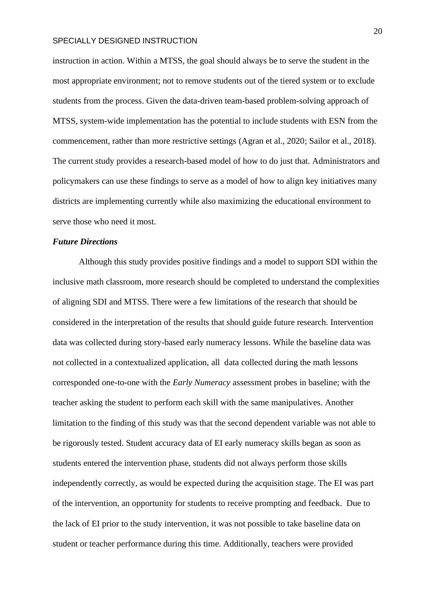instruction in action. Within a MTSS, the goal should always be to serve the student in the most appropriate environment; not to remove students out of the tiered system or to exclude students from the process. Given the data-driven team-based problem-solving approach of MTSS, system-wide implementation has the potential to include students with ESN from the commencement, rather than more restrictive settings (Agran et al., 2020; Sailor et al., 2018). The current study provides a research-based model of how to do just that. Administrators and policymakers can use these findings to serve as a model of how to align key initiatives many districts are implementing currently while also maximizing the educational environment to serve those who need it most.

#### *Future Directions*

Although this study provides positive findings and a model to support SDI within the inclusive math classroom, more research should be completed to understand the complexities of aligning SDI and MTSS. There were a few limitations of the research that should be considered in the interpretation of the results that should guide future research. Intervention data was collected during story-based early numeracy lessons. While the baseline data was not collected in a contextualized application, all data collected during the math lessons corresponded one-to-one with the *Early Numeracy* assessment probes in baseline; with the teacher asking the student to perform each skill with the same manipulatives. Another limitation to the finding of this study was that the second dependent variable was not able to be rigorously tested. Student accuracy data of EI early numeracy skills began as soon as students entered the intervention phase, students did not always perform those skills independently correctly, as would be expected during the acquisition stage. The EI was part of the intervention, an opportunity for students to receive prompting and feedback. Due to the lack of EI prior to the study intervention, it was not possible to take baseline data on student or teacher performance during this time. Additionally, teachers were provided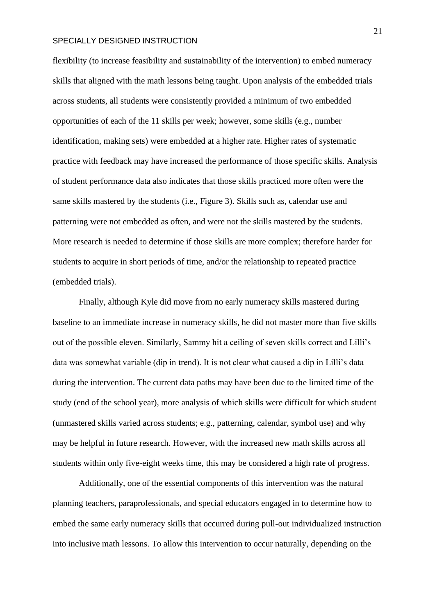flexibility (to increase feasibility and sustainability of the intervention) to embed numeracy skills that aligned with the math lessons being taught. Upon analysis of the embedded trials across students, all students were consistently provided a minimum of two embedded opportunities of each of the 11 skills per week; however, some skills (e.g., number identification, making sets) were embedded at a higher rate. Higher rates of systematic practice with feedback may have increased the performance of those specific skills. Analysis of student performance data also indicates that those skills practiced more often were the same skills mastered by the students (i.e., Figure 3). Skills such as, calendar use and patterning were not embedded as often, and were not the skills mastered by the students. More research is needed to determine if those skills are more complex; therefore harder for students to acquire in short periods of time, and/or the relationship to repeated practice (embedded trials).

Finally, although Kyle did move from no early numeracy skills mastered during baseline to an immediate increase in numeracy skills, he did not master more than five skills out of the possible eleven. Similarly, Sammy hit a ceiling of seven skills correct and Lilli's data was somewhat variable (dip in trend). It is not clear what caused a dip in Lilli's data during the intervention. The current data paths may have been due to the limited time of the study (end of the school year), more analysis of which skills were difficult for which student (unmastered skills varied across students; e.g., patterning, calendar, symbol use) and why may be helpful in future research. However, with the increased new math skills across all students within only five-eight weeks time, this may be considered a high rate of progress.

Additionally, one of the essential components of this intervention was the natural planning teachers, paraprofessionals, and special educators engaged in to determine how to embed the same early numeracy skills that occurred during pull-out individualized instruction into inclusive math lessons. To allow this intervention to occur naturally, depending on the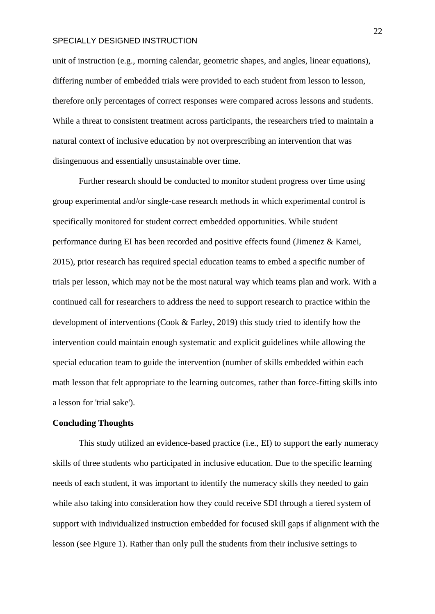unit of instruction (e.g., morning calendar, geometric shapes, and angles, linear equations), differing number of embedded trials were provided to each student from lesson to lesson, therefore only percentages of correct responses were compared across lessons and students. While a threat to consistent treatment across participants, the researchers tried to maintain a natural context of inclusive education by not overprescribing an intervention that was disingenuous and essentially unsustainable over time.

Further research should be conducted to monitor student progress over time using group experimental and/or single-case research methods in which experimental control is specifically monitored for student correct embedded opportunities. While student performance during EI has been recorded and positive effects found (Jimenez & Kamei, 2015), prior research has required special education teams to embed a specific number of trials per lesson, which may not be the most natural way which teams plan and work. With a continued call for researchers to address the need to support research to practice within the development of interventions (Cook & Farley, 2019) this study tried to identify how the intervention could maintain enough systematic and explicit guidelines while allowing the special education team to guide the intervention (number of skills embedded within each math lesson that felt appropriate to the learning outcomes, rather than force-fitting skills into a lesson for 'trial sake').

### **Concluding Thoughts**

This study utilized an evidence-based practice (i.e., EI) to support the early numeracy skills of three students who participated in inclusive education. Due to the specific learning needs of each student, it was important to identify the numeracy skills they needed to gain while also taking into consideration how they could receive SDI through a tiered system of support with individualized instruction embedded for focused skill gaps if alignment with the lesson (see Figure 1). Rather than only pull the students from their inclusive settings to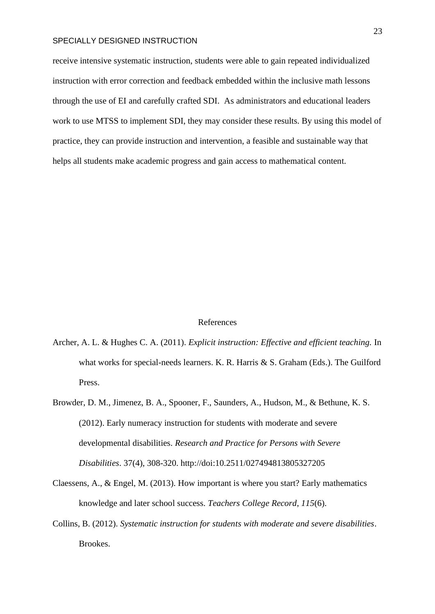receive intensive systematic instruction, students were able to gain repeated individualized instruction with error correction and feedback embedded within the inclusive math lessons through the use of EI and carefully crafted SDI. As administrators and educational leaders work to use MTSS to implement SDI, they may consider these results. By using this model of practice, they can provide instruction and intervention, a feasible and sustainable way that helps all students make academic progress and gain access to mathematical content.

#### References

- Archer, A. L. & Hughes C. A. (2011). *Explicit instruction: Effective and efficient teaching.* In what works for special-needs learners. K. R. Harris & S. Graham (Eds.). The Guilford Press.
- Browder, D. M., Jimenez, B. A., Spooner, F., Saunders, A., Hudson, M., & Bethune, K. S. (2012). Early numeracy instruction for students with moderate and severe developmental disabilities. *Research and Practice for Persons with Severe Disabilities*. 37(4), 308-320. http://doi:10.2511/027494813805327205
- Claessens, A., & Engel, M. (2013). How important is where you start? Early mathematics knowledge and later school success. *Teachers College Record*, *115*(6).
- Collins, B. (2012). *Systematic instruction for students with moderate and severe disabilities*. Brookes.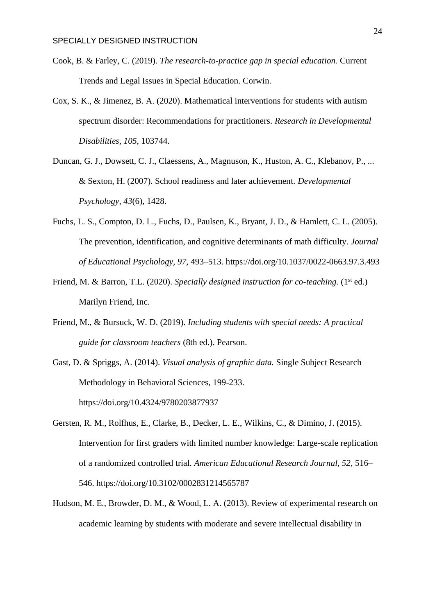- Cook, B. & Farley, C. (2019). *The research-to-practice gap in special education.* Current Trends and Legal Issues in Special Education. Corwin.
- Cox, S. K., & Jimenez, B. A. (2020). Mathematical interventions for students with autism spectrum disorder: Recommendations for practitioners. *Research in Developmental Disabilities*, *105*, 103744.
- Duncan, G. J., Dowsett, C. J., Claessens, A., Magnuson, K., Huston, A. C., Klebanov, P., ... & Sexton, H. (2007). School readiness and later achievement. *Developmental Psychology*, *43*(6), 1428.
- Fuchs, L. S., Compton, D. L., Fuchs, D., Paulsen, K., Bryant, J. D., & Hamlett, C. L. (2005). The prevention, identification, and cognitive determinants of math difficulty. *Journal of Educational Psychology, 97*, 493–513. https://doi.org/10.1037/0022-0663.97.3.493
- Friend, M. & Barron, T.L. (2020). *Specially designed instruction for co-teaching.* (1<sup>st</sup> ed.) Marilyn Friend, Inc.
- Friend, M., & Bursuck, W. D. (2019). *Including students with special needs: A practical guide for classroom teachers* (8th ed.). Pearson.
- Gast, D. & Spriggs, A. (2014). *Visual analysis of graphic data.* Single Subject Research Methodology in Behavioral Sciences, 199-233. https://doi.org/10.4324/9780203877937
- Gersten, R. M., Rolfhus, E., Clarke, B., Decker, L. E., Wilkins, C., & Dimino, J. (2015). Intervention for first graders with limited number knowledge: Large-scale replication of a randomized controlled trial. *American Educational Research Journal, 52*, 516– 546. https://doi.org/10.3102/0002831214565787
- Hudson, M. E., Browder, D. M., & Wood, L. A. (2013). Review of experimental research on academic learning by students with moderate and severe intellectual disability in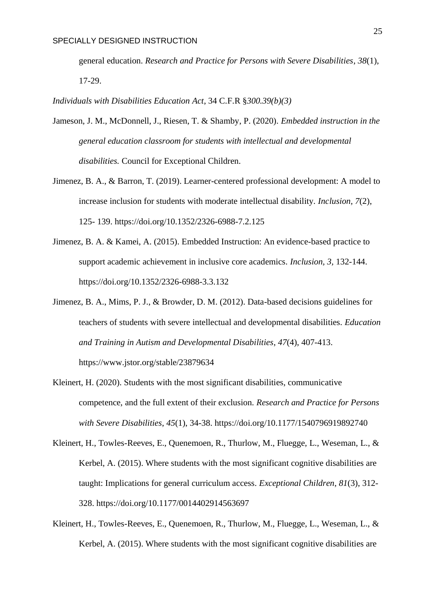general education. *Research and Practice for Persons with Severe Disabilities*, *38*(1), 17-29.

*Individuals with Disabilities Education Act*, 34 C.F.R §*300.39(b)(3)* 

- Jameson, J. M., McDonnell, J., Riesen, T. & Shamby, P. (2020). *Embedded instruction in the general education classroom for students with intellectual and developmental disabilities.* Council for Exceptional Children.
- Jimenez, B. A., & Barron, T. (2019). Learner-centered professional development: A model to increase inclusion for students with moderate intellectual disability. *Inclusion, 7*(2), 125- 139. https://doi.org/10.1352/2326-6988-7.2.125
- Jimenez, B. A. & Kamei, A. (2015). Embedded Instruction: An evidence-based practice to support academic achievement in inclusive core academics. *Inclusion, 3,* 132-144. https://doi.org/10.1352/2326-6988-3.3.132
- Jimenez, B. A., Mims, P. J., & Browder, D. M. (2012). Data-based decisions guidelines for teachers of students with severe intellectual and developmental disabilities. *Education and Training in Autism and Developmental Disabilities*, *47*(4), 407-413. https://www.jstor.org/stable/23879634
- Kleinert, H. (2020). Students with the most significant disabilities, communicative competence, and the full extent of their exclusion. *Research and Practice for Persons with Severe Disabilities*, *45*(1), 34-38. https://doi.org/10.1177/1540796919892740
- Kleinert, H., Towles-Reeves, E., Quenemoen, R., Thurlow, M., Fluegge, L., Weseman, L., & Kerbel, A. (2015). Where students with the most significant cognitive disabilities are taught: Implications for general curriculum access. *Exceptional Children*, *81*(3), 312- 328. https://doi.org/10.1177/0014402914563697
- Kleinert, H., Towles-Reeves, E., Quenemoen, R., Thurlow, M., Fluegge, L., Weseman, L., & Kerbel, A. (2015). Where students with the most significant cognitive disabilities are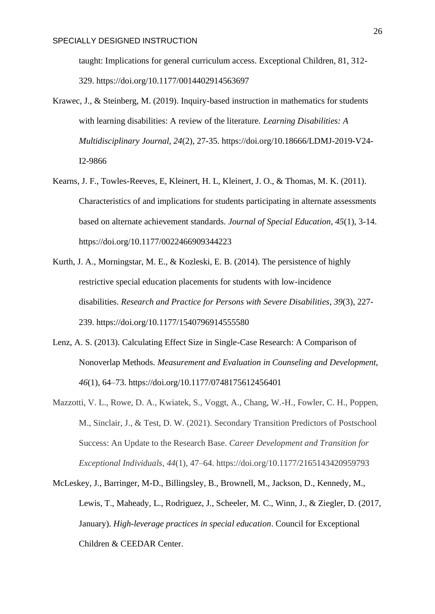taught: Implications for general curriculum access. Exceptional Children, 81, 312- 329. https://doi.org/10.1177/0014402914563697

- Krawec, J., & Steinberg, M. (2019). Inquiry-based instruction in mathematics for students with learning disabilities: A review of the literature. *Learning Disabilities: A Multidisciplinary Journal, 24*(2), 27-35. https://doi.org/10.18666/LDMJ-2019-V24- I2-9866
- Kearns, J. F., Towles-Reeves, E, Kleinert, H. L, Kleinert, J. O., & Thomas, M. K. (2011). Characteristics of and implications for students participating in alternate assessments based on alternate achievement standards. *Journal of Special Education, 45*(1), 3-14. https://doi.org/10.1177/0022466909344223
- Kurth, J. A., Morningstar, M. E., & Kozleski, E. B. (2014). The persistence of highly restrictive special education placements for students with low-incidence disabilities. *Research and Practice for Persons with Severe Disabilities*, *39*(3), 227- 239. https://doi.org/10.1177/1540796914555580
- Lenz, A. S. (2013). Calculating Effect Size in Single-Case Research: A Comparison of Nonoverlap Methods. *Measurement and Evaluation in Counseling and Development*, *46*(1), 64–73. https://doi.org/10.1177/0748175612456401
- Mazzotti, V. L., Rowe, D. A., Kwiatek, S., Voggt, A., Chang, W.-H., Fowler, C. H., Poppen, M., Sinclair, J., & Test, D. W. (2021). Secondary Transition Predictors of Postschool Success: An Update to the Research Base. *Career Development and Transition for Exceptional Individuals*, *44*(1), 47–64. https://doi.org/10.1177/2165143420959793
- McLeskey, J., Barringer, M-D., Billingsley, B., Brownell, M., Jackson, D., Kennedy, M., Lewis, T., Maheady, L., Rodriguez, J., Scheeler, M. C., Winn, J., & Ziegler, D. (2017, January). *High-leverage practices in special education*. Council for Exceptional Children & CEEDAR Center.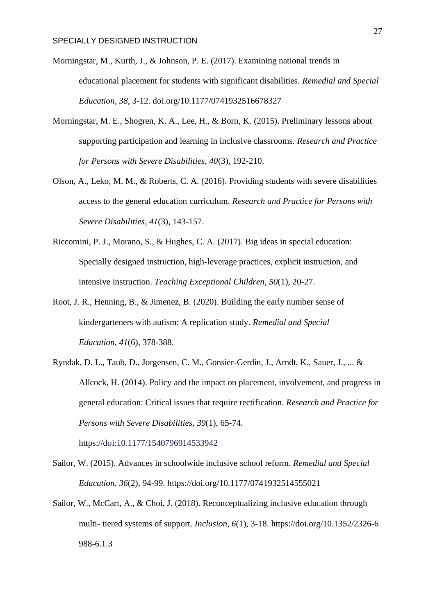- Morningstar, M., Kurth, J., & Johnson, P. E. (2017). Examining national trends in educational placement for students with significant disabilities. *Remedial and Special Education, 38*, 3-12. doi.org/10.1177/0741932516678327
- Morningstar, M. E., Shogren, K. A., Lee, H., & Born, K. (2015). Preliminary lessons about supporting participation and learning in inclusive classrooms. *Research and Practice for Persons with Severe Disabilities, 40*(3), 192-210.
- Olson, A., Leko, M. M., & Roberts, C. A. (2016). Providing students with severe disabilities access to the general education curriculum. *Research and Practice for Persons with Severe Disabilities*, *41*(3), 143-157.
- Riccomini, P. J., Morano, S., & Hughes, C. A. (2017). Big ideas in special education: Specially designed instruction, high-leverage practices, explicit instruction, and intensive instruction. *Teaching Exceptional Children*, *50*(1), 20-27.
- Root, J. R., Henning, B., & Jimenez, B. (2020). Building the early number sense of kindergarteners with autism: A replication study. *Remedial and Special Education*, *41*(6), 378-388.
- Ryndak, D. L., Taub, D., Jorgensen, C. M., Gonsier-Gerdin, J., Arndt, K., Sauer, J., ... & Allcock, H. (2014). Policy and the impact on placement, involvement, and progress in general education: Critical issues that require rectification. *Research and Practice for Persons with Severe Disabilities*, *39*(1), 65-74. https://doi:10.1177/1540796914533942
- Sailor, W. (2015). Advances in schoolwide inclusive school reform. *Remedial and Special Education, 36*(2), 94-99.<https://doi.org/10.1177/0741932514555021>
- Sailor, W., McCart, A., & Choi, J. (2018). Reconceptualizing inclusive education through multi- tiered systems of support. *Inclusion*, *6*(1), 3-18. https://doi.org/10.1352/2326-6 988-6.1.3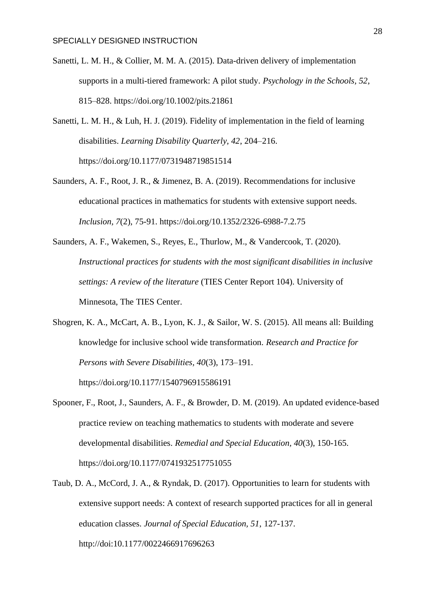- Sanetti, L. M. H., & Collier, M. M. A. (2015). Data-driven delivery of implementation supports in a multi-tiered framework: A pilot study. *Psychology in the Schools, 52*, 815–828.<https://doi.org/10.1002/pits.21861>
- Sanetti, L. M. H., & Luh, H. J. (2019). Fidelity of implementation in the field of learning disabilities. *Learning Disability Quarterly, 42*, 204–216. https://doi.org/10.1177/0731948719851514
- Saunders, A. F., Root, J. R., & Jimenez, B. A. (2019). Recommendations for inclusive educational practices in mathematics for students with extensive support needs. *Inclusion, 7*(2), 75-91. https://doi.org/10.1352/2326-6988-7.2.75
- Saunders, A. F., Wakemen, S., Reyes, E., Thurlow, M., & Vandercook, T. (2020). *Instructional practices for students with the most significant disabilities in inclusive settings: A review of the literature* (TIES Center Report 104). University of Minnesota, The TIES Center.
- Shogren, K. A., McCart, A. B., Lyon, K. J., & Sailor, W. S. (2015). All means all: Building knowledge for inclusive school wide transformation. *Research and Practice for Persons with Severe Disabilities, 40*(3), 173–191. https://doi.org/10.1177/1540796915586191
- Spooner, F., Root, J., Saunders, A. F., & Browder, D. M. (2019). An updated evidence-based practice review on teaching mathematics to students with moderate and severe developmental disabilities. *Remedial and Special Education, 40*(3), 150-165. <https://doi.org/10.1177/0741932517751055>
- Taub, D. A., McCord, J. A., & Ryndak, D. (2017). Opportunities to learn for students with extensive support needs: A context of research supported practices for all in general education classes. *Journal of Special Education, 51*, 127-137. http://doi[:10.1177/0022466917696263](https://doi.org/10.1177/0022466917696263)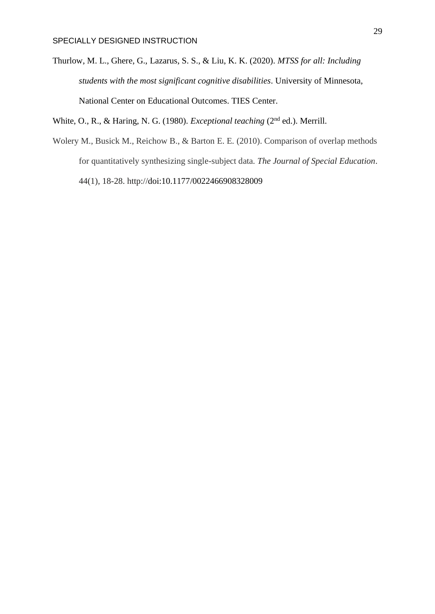Thurlow, M. L., Ghere, G., Lazarus, S. S., & Liu, K. K. (2020). *MTSS for all: Including students with the most significant cognitive disabilities*. University of Minnesota, National Center on Educational Outcomes. TIES Center.

White, O., R., & Haring, N. G. (1980). *Exceptional teaching* (2<sup>nd</sup> ed.). Merrill.

Wolery M., Busick M., Reichow B., & Barton E. E. (2010). Comparison of overlap methods for quantitatively synthesizing single-subject data. *The Journal of Special Education*. 44(1), 18-28. http://doi[:10.1177/0022466908328009](https://doi.org/10.1177/0022466908328009)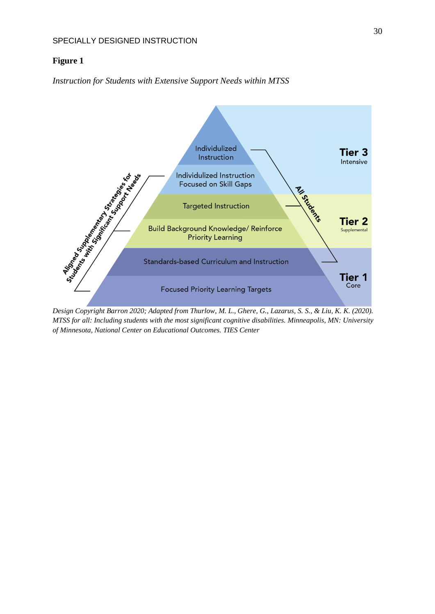# **Figure 1**

*Instruction for Students with Extensive Support Needs within MTSS*



*Design Copyright Barron 2020; Adapted from Thurlow, M. L., Ghere, G., Lazarus, S. S., & Liu, K. K. (2020). MTSS for all: Including students with the most significant cognitive disabilities. Minneapolis, MN: University of Minnesota, National Center on Educational Outcomes. TIES Center*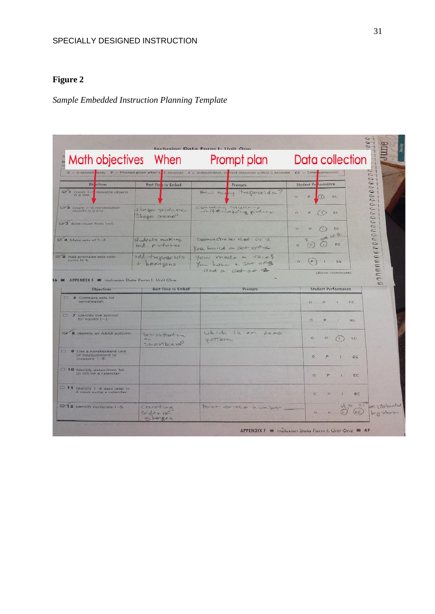# **Figure 2**

# *Sample Embedded Instruction Planning Template*

| Math objectives When<br>$\mathbf{0} = 0$ -second salay $\mathbf{P} =$ Prompt given after $\mathbf{S}$ G seconds |                                               | Prompt plan<br>1 = independent, conect response within 5 seconds |          | Data collection<br>EC - Error correction |                  |            | $\epsilon$ 1 |
|-----------------------------------------------------------------------------------------------------------------|-----------------------------------------------|------------------------------------------------------------------|----------|------------------------------------------|------------------|------------|--------------|
| <b>Ob</b> etives                                                                                                | <b>Bost Time</b> to Embed                     | Prompts                                                          |          | Student Passormance                      |                  |            |              |
| <b>Get I</b> Count I<br>movable objects                                                                         |                                               | my trapezoid =?<br>Hew Me                                        | $\alpha$ | P.<br>(1)                                | <b>HC</b>        |            |              |
| E-2 Count 1-5 nonmovable<br>cityects in a fine.                                                                 | Shape produce<br>Shape scene!                 | counting square                                                  | ö.       |                                          | EC)              |            |              |
| <b>EPS</b> Rote count from 1-5.                                                                                 |                                               |                                                                  | ö.       |                                          | EC               |            |              |
| <b>M</b> 4 Make sets of 1-8.                                                                                    | students making<br>$mod - p^{\prime}$ - tubes | Demonstrate set of 2<br>You build a set of 1                     | $\circ$  | ad<br>(r)                                | DC.              |            |              |
| <b>Bd</b> <sup>5</sup> Add premade asts with<br>sums to s.                                                      | add trapezoids<br>$+$ hexagons                | You made a face!<br>You have a set of 3<br>and a set of 2        | $\alpha$ | (p.                                      | EC               |            |              |
|                                                                                                                 |                                               |                                                                  |          | <b><i>IFORD CONTINUES</i></b>            |                  |            |              |
| APPENDIX F <b>El Inclusion Data Form I. Unit One</b><br><b>Objectives</b><br><b>EZ</b><br>6 Compare sets for    | Best Time to Embed                            | Prompts                                                          |          | <b>Student Performance</b>               |                  |            |              |
| катна/една).<br>西<br><b>7</b> Identify the symbol<br>for equals $(-)$ .                                         |                                               |                                                                  |          | 13<br>Þ<br>$\circ$<br>P.                 | 13               | T.C.<br>EC |              |
| 8 Identify an ABAB pattern.                                                                                     | Detu pustant un<br><b>HOW-</b><br>Straytboard | Which is an<br>$A + A - B$<br><b>INSTEADAN</b>                   |          | $\circ$<br>P                             | $\left(1\right)$ | tic.       |              |
| 9 Use a nonstandard unit<br>of measurement to<br>measure 1-5.                                                   |                                               |                                                                  |          | $\sigma$                                 |                  | EC         |              |
| $\square$<br>10 Identify datas from 1st<br>tra tath on a calendar.                                              |                                               |                                                                  |          | P<br>ö                                   |                  | EC         |              |
| 11 Identify 1 5 days later in<br>a week using a calendar.                                                       |                                               |                                                                  |          | $\circ$<br>D.                            |                  | EC         |              |